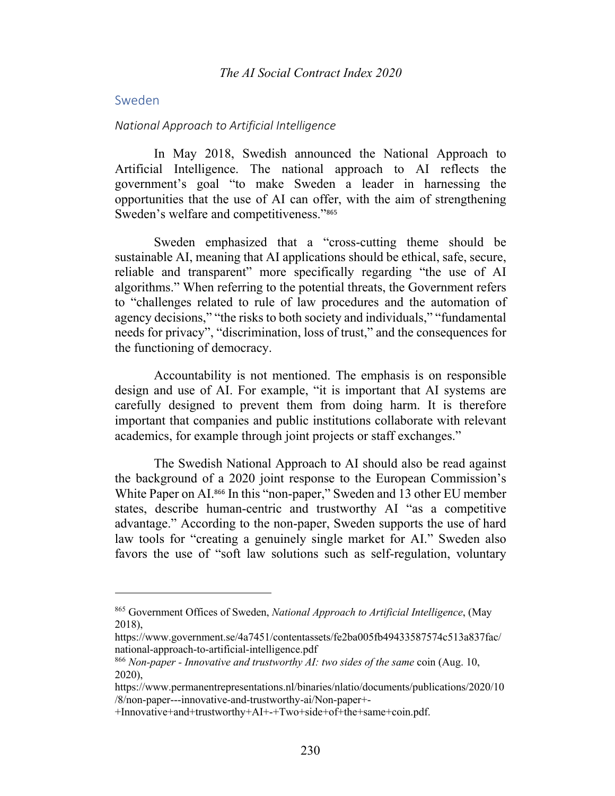## Sweden

#### *National Approach to Artificial Intelligence*

In May 2018, Swedish announced the National Approach to Artificial Intelligence. The national approach to AI reflects the government's goal "to make Sweden a leader in harnessing the opportunities that the use of AI can offer, with the aim of strengthening Sweden's welfare and competitiveness."<sup>865</sup>

Sweden emphasized that a "cross-cutting theme should be sustainable AI, meaning that AI applications should be ethical, safe, secure, reliable and transparent" more specifically regarding "the use of AI algorithms." When referring to the potential threats, the Government refers to "challenges related to rule of law procedures and the automation of agency decisions," "the risks to both society and individuals," "fundamental needs for privacy", "discrimination, loss of trust," and the consequences for the functioning of democracy.

Accountability is not mentioned. The emphasis is on responsible design and use of AI. For example, "it is important that AI systems are carefully designed to prevent them from doing harm. It is therefore important that companies and public institutions collaborate with relevant academics, for example through joint projects or staff exchanges."

The Swedish National Approach to AI should also be read against the background of a 2020 joint response to the European Commission's White Paper on AI.<sup>866</sup> In this "non-paper," Sweden and 13 other EU member states, describe human-centric and trustworthy AI "as a competitive advantage." According to the non-paper, Sweden supports the use of hard law tools for "creating a genuinely single market for AI." Sweden also favors the use of "soft law solutions such as self-regulation, voluntary

<sup>865</sup> Government Offices of Sweden, *National Approach to Artificial Intelligence*, (May 2018),

https://www.government.se/4a7451/contentassets/fe2ba005fb49433587574c513a837fac/ national-approach-to-artificial-intelligence.pdf

<sup>866</sup> *Non-paper - Innovative and trustworthy AI: two sides of the same* coin (Aug. 10, 2020),

https://www.permanentrepresentations.nl/binaries/nlatio/documents/publications/2020/10 /8/non-paper---innovative-and-trustworthy-ai/Non-paper+-

<sup>+</sup>Innovative+and+trustworthy+AI+-+Two+side+of+the+same+coin.pdf.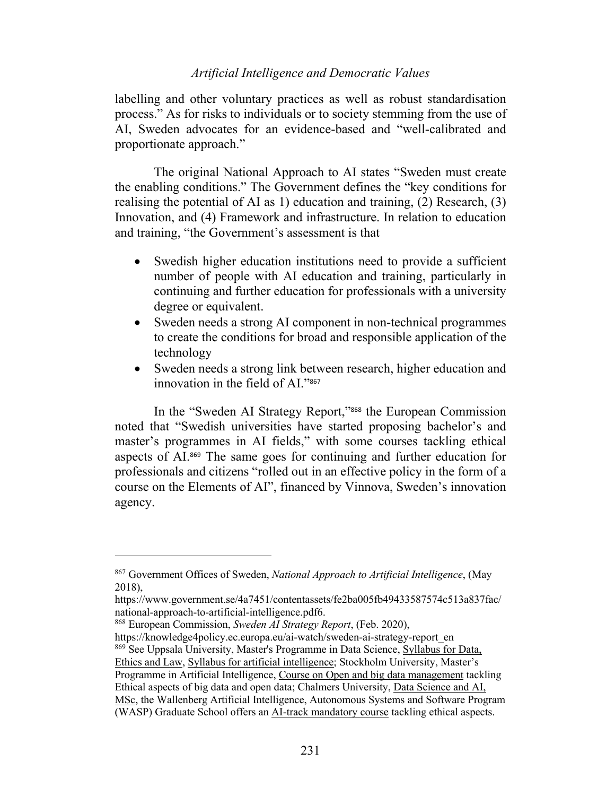labelling and other voluntary practices as well as robust standardisation process." As for risks to individuals or to society stemming from the use of AI, Sweden advocates for an evidence-based and "well-calibrated and proportionate approach."

The original National Approach to AI states "Sweden must create the enabling conditions." The Government defines the "key conditions for realising the potential of AI as 1) education and training, (2) Research, (3) Innovation, and (4) Framework and infrastructure. In relation to education and training, "the Government's assessment is that

- Swedish higher education institutions need to provide a sufficient number of people with AI education and training, particularly in continuing and further education for professionals with a university degree or equivalent.
- Sweden needs a strong AI component in non-technical programmes to create the conditions for broad and responsible application of the technology
- Sweden needs a strong link between research, higher education and innovation in the field of AI."<sup>867</sup>

In the "Sweden AI Strategy Report,"<sup>868</sup> the European Commission noted that "Swedish universities have started proposing bachelor's and master's programmes in AI fields," with some courses tackling ethical aspects of AI.<sup>869</sup> The same goes for continuing and further education for professionals and citizens "rolled out in an effective policy in the form of a course on the Elements of AI", financed by Vinnova, Sweden's innovation agency.

<sup>868</sup> European Commission, *Sweden AI Strategy Report*, (Feb. 2020),

https://knowledge4policy.ec.europa.eu/ai-watch/sweden-ai-strategy-report\_en <sup>869</sup> See Uppsala University, Master's Programme in Data Science, Syllabus for Data, Ethics and Law, Syllabus for artificial intelligence; Stockholm University, Master's Programme in Artificial Intelligence, Course on Open and big data management tackling Ethical aspects of big data and open data; Chalmers University, Data Science and AI, MSc, the Wallenberg Artificial Intelligence, Autonomous Systems and Software Program (WASP) Graduate School offers an AI-track mandatory course tackling ethical aspects.

<sup>867</sup> Government Offices of Sweden, *National Approach to Artificial Intelligence*, (May 2018),

https://www.government.se/4a7451/contentassets/fe2ba005fb49433587574c513a837fac/ national-approach-to-artificial-intelligence.pdf6.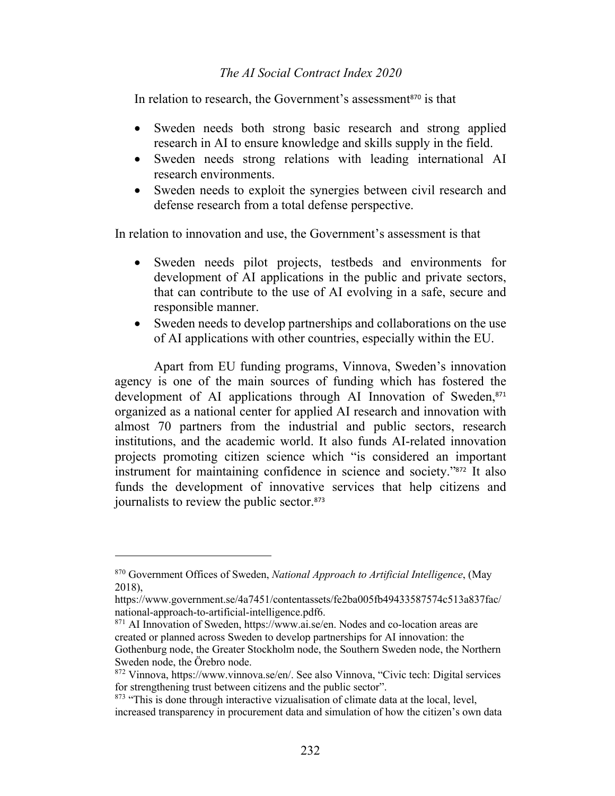In relation to research, the Government's assessment<sup>870</sup> is that

- Sweden needs both strong basic research and strong applied research in AI to ensure knowledge and skills supply in the field.
- Sweden needs strong relations with leading international AI research environments.
- Sweden needs to exploit the synergies between civil research and defense research from a total defense perspective.

In relation to innovation and use, the Government's assessment is that

- Sweden needs pilot projects, testbeds and environments for development of AI applications in the public and private sectors, that can contribute to the use of AI evolving in a safe, secure and responsible manner.
- Sweden needs to develop partnerships and collaborations on the use of AI applications with other countries, especially within the EU.

Apart from EU funding programs, Vinnova, Sweden's innovation agency is one of the main sources of funding which has fostered the development of AI applications through AI Innovation of Sweden,<sup>871</sup> organized as a national center for applied AI research and innovation with almost 70 partners from the industrial and public sectors, research institutions, and the academic world. It also funds AI-related innovation projects promoting citizen science which "is considered an important instrument for maintaining confidence in science and society."<sup>872</sup> It also funds the development of innovative services that help citizens and journalists to review the public sector.<sup>873</sup>

<sup>871</sup> AI Innovation of Sweden, https://www.ai.se/en. Nodes and co-location areas are created or planned across Sweden to develop partnerships for AI innovation: the Gothenburg node, the Greater Stockholm node, the Southern Sweden node, the Northern Sweden node, the Örebro node.

<sup>870</sup> Government Offices of Sweden, *National Approach to Artificial Intelligence*, (May 2018),

https://www.government.se/4a7451/contentassets/fe2ba005fb49433587574c513a837fac/ national-approach-to-artificial-intelligence.pdf6.

<sup>872</sup> Vinnova, https://www.vinnova.se/en/. See also Vinnova, "Civic tech: Digital services for strengthening trust between citizens and the public sector".

 $873$  "This is done through interactive vizualisation of climate data at the local, level, increased transparency in procurement data and simulation of how the citizen's own data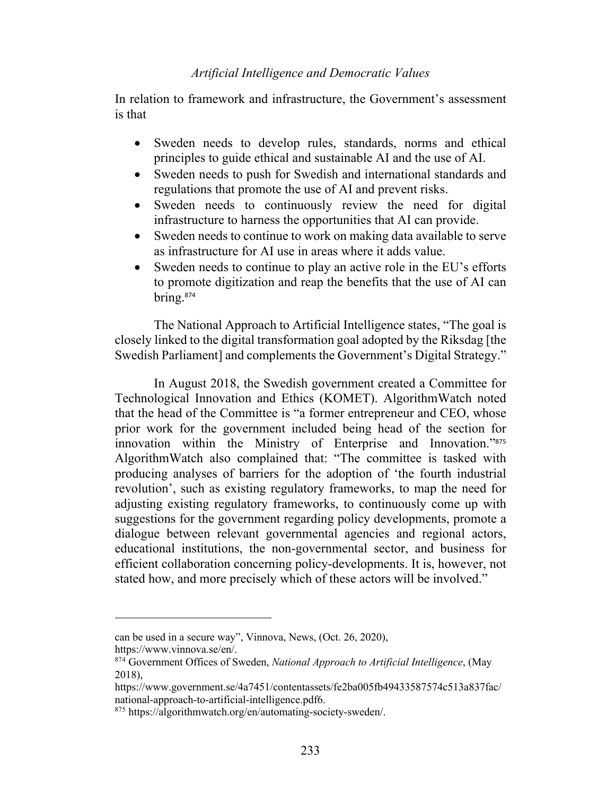In relation to framework and infrastructure, the Government's assessment is that

- Sweden needs to develop rules, standards, norms and ethical principles to guide ethical and sustainable AI and the use of AI.
- Sweden needs to push for Swedish and international standards and regulations that promote the use of AI and prevent risks.
- Sweden needs to continuously review the need for digital infrastructure to harness the opportunities that AI can provide.
- Sweden needs to continue to work on making data available to serve as infrastructure for AI use in areas where it adds value.
- Sweden needs to continue to play an active role in the EU's efforts to promote digitization and reap the benefits that the use of AI can bring.<sup>874</sup>

The National Approach to Artificial Intelligence states, "The goal is closely linked to the digital transformation goal adopted by the Riksdag [the Swedish Parliament] and complements the Government's Digital Strategy."

In August 2018, the Swedish government created a Committee for Technological Innovation and Ethics (KOMET). AlgorithmWatch noted that the head of the Committee is "a former entrepreneur and CEO, whose prior work for the government included being head of the section for innovation within the Ministry of Enterprise and Innovation."<sup>875</sup> AlgorithmWatch also complained that: "The committee is tasked with producing analyses of barriers for the adoption of 'the fourth industrial revolution', such as existing regulatory frameworks, to map the need for adjusting existing regulatory frameworks, to continuously come up with suggestions for the government regarding policy developments, promote a dialogue between relevant governmental agencies and regional actors, educational institutions, the non-governmental sector, and business for efficient collaboration concerning policy-developments. It is, however, not stated how, and more precisely which of these actors will be involved."

can be used in a secure way", Vinnova, News, (Oct. 26, 2020),

https://www.vinnova.se/en/.

<sup>874</sup> Government Offices of Sweden, *National Approach to Artificial Intelligence*, (May 2018),

https://www.government.se/4a7451/contentassets/fe2ba005fb49433587574c513a837fac/ national-approach-to-artificial-intelligence.pdf6.

<sup>875</sup> https://algorithmwatch.org/en/automating-society-sweden/.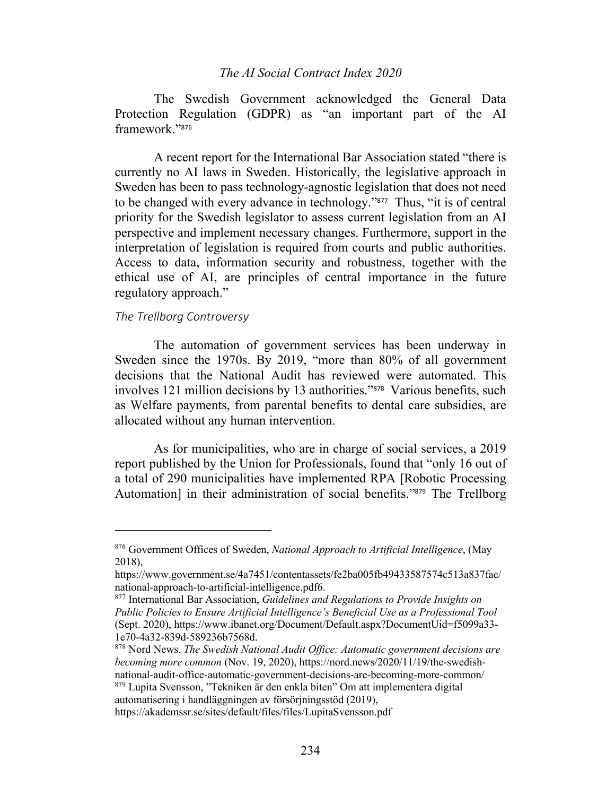The Swedish Government acknowledged the General Data Protection Regulation (GDPR) as "an important part of the AI framework."<sup>876</sup>

A recent report for the International Bar Association stated "there is currently no AI laws in Sweden. Historically, the legislative approach in Sweden has been to pass technology-agnostic legislation that does not need to be changed with every advance in technology."877 Thus, "it is of central priority for the Swedish legislator to assess current legislation from an AI perspective and implement necessary changes. Furthermore, support in the interpretation of legislation is required from courts and public authorities. Access to data, information security and robustness, together with the ethical use of AI, are principles of central importance in the future regulatory approach."

# *The Trellborg Controversy*

The automation of government services has been underway in Sweden since the 1970s. By 2019, "more than 80% of all government decisions that the National Audit has reviewed were automated. This involves 121 million decisions by 13 authorities."878 Various benefits, such as Welfare payments, from parental benefits to dental care subsidies, are allocated without any human intervention.

As for municipalities, who are in charge of social services, a 2019 report published by the Union for Professionals, found that "only 16 out of a total of 290 municipalities have implemented RPA [Robotic Processing Automation] in their administration of social benefits."879 The Trellborg

<sup>879</sup> Lupita Svensson, "Tekniken är den enkla biten" Om att implementera digital automatisering i handläggningen av försörjningsstöd (2019),

https://akademssr.se/sites/default/files/files/LupitaSvensson.pdf

<sup>876</sup> Government Offices of Sweden, *National Approach to Artificial Intelligence*, (May 2018),

https://www.government.se/4a7451/contentassets/fe2ba005fb49433587574c513a837fac/ national-approach-to-artificial-intelligence.pdf6.

<sup>877</sup> International Bar Association, *Guidelines and Regulations to Provide Insights on Public Policies to Ensure Artificial Intelligence's Beneficial Use as a Professional Tool*  (Sept. 2020), https://www.ibanet.org/Document/Default.aspx?DocumentUid=f5099a33- 1e70-4a32-839d-589236b7568d.

<sup>878</sup> Nord News, *The Swedish National Audit Office: Automatic government decisions are becoming more common* (Nov. 19, 2020), https://nord.news/2020/11/19/the-swedishnational-audit-office-automatic-government-decisions-are-becoming-more-common/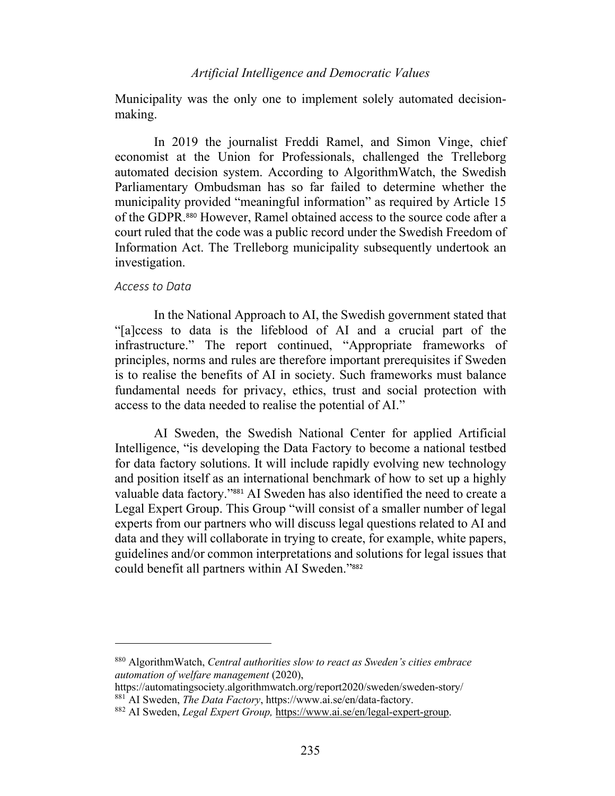Municipality was the only one to implement solely automated decisionmaking.

In 2019 the journalist Freddi Ramel, and Simon Vinge, chief economist at the Union for Professionals, challenged the Trelleborg automated decision system. According to AlgorithmWatch, the Swedish Parliamentary Ombudsman has so far failed to determine whether the municipality provided "meaningful information" as required by Article 15 of the GDPR.<sup>880</sup> However, Ramel obtained access to the source code after a court ruled that the code was a public record under the Swedish Freedom of Information Act. The Trelleborg municipality subsequently undertook an investigation.

#### *Access to Data*

In the National Approach to AI, the Swedish government stated that "[a]ccess to data is the lifeblood of AI and a crucial part of the infrastructure." The report continued, "Appropriate frameworks of principles, norms and rules are therefore important prerequisites if Sweden is to realise the benefits of AI in society. Such frameworks must balance fundamental needs for privacy, ethics, trust and social protection with access to the data needed to realise the potential of AI."

AI Sweden, the Swedish National Center for applied Artificial Intelligence, "is developing the Data Factory to become a national testbed for data factory solutions. It will include rapidly evolving new technology and position itself as an international benchmark of how to set up a highly valuable data factory."<sup>881</sup> AI Sweden has also identified the need to create a Legal Expert Group. This Group "will consist of a smaller number of legal experts from our partners who will discuss legal questions related to AI and data and they will collaborate in trying to create, for example, white papers, guidelines and/or common interpretations and solutions for legal issues that could benefit all partners within AI Sweden."<sup>882</sup>

<sup>880</sup> AlgorithmWatch, *Central authorities slow to react as Sweden's cities embrace automation of welfare management* (2020),

https://automatingsociety.algorithmwatch.org/report2020/sweden/sweden-story/ <sup>881</sup> AI Sweden, *The Data Factory*, https://www.ai.se/en/data-factory.

<sup>882</sup> AI Sweden, *Legal Expert Group,* https://www.ai.se/en/legal-expert-group.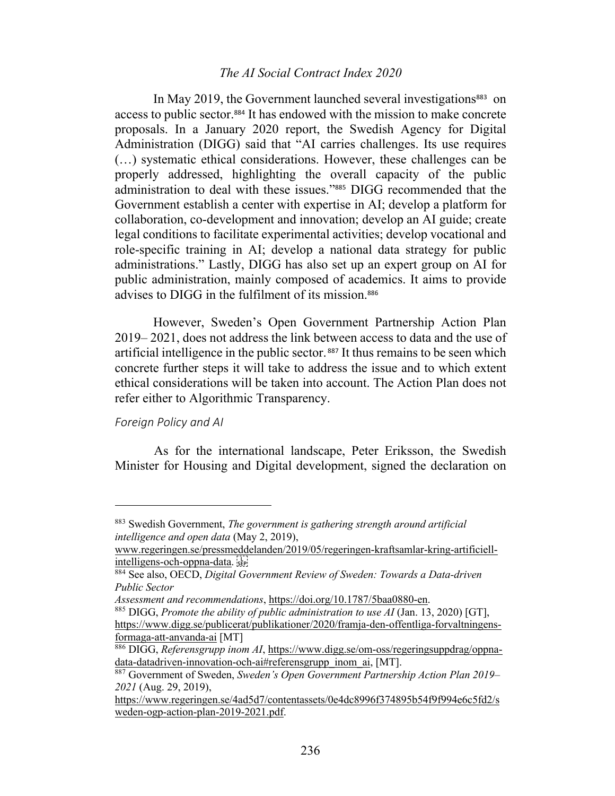In May 2019, the Government launched several investigations<sup>883</sup> on access to public sector. <sup>884</sup> It has endowed with the mission to make concrete proposals. In a January 2020 report, the Swedish Agency for Digital Administration (DIGG) said that "AI carries challenges. Its use requires (…) systematic ethical considerations. However, these challenges can be properly addressed, highlighting the overall capacity of the public administration to deal with these issues."<sup>885</sup> DIGG recommended that the Government establish a center with expertise in AI; develop a platform for collaboration, co-development and innovation; develop an AI guide; create legal conditions to facilitate experimental activities; develop vocational and role-specific training in AI; develop a national data strategy for public administrations." Lastly, DIGG has also set up an expert group on AI for public administration, mainly composed of academics. It aims to provide advises to DIGG in the fulfilment of its mission.<sup>886</sup>

However, Sweden's Open Government Partnership Action Plan 2019– 2021, does not address the link between access to data and the use of artificial intelligence in the public sector. <sup>887</sup> It thus remains to be seen which concrete further steps it will take to address the issue and to which extent ethical considerations will be taken into account. The Action Plan does not refer either to Algorithmic Transparency.

# *Foreign Policy and AI*

As for the international landscape, Peter Eriksson, the Swedish Minister for Housing and Digital development, signed the declaration on

<sup>883</sup> Swedish Government, *The government is gathering strength around artificial intelligence and open data* (May 2, 2019),

www.regeringen.se/pressmeddelanden/2019/05/regeringen-kraftsamlar-kring-artificiellintelligens-och-oppna-data.

<sup>884</sup> See also, OECD, *Digital Government Review of Sweden: Towards a Data-driven Public Sector*

*Assessment and recommendations*, https://doi.org/10.1787/5baa0880-en.

<sup>885</sup> DIGG, *Promote the ability of public administration to use AI* (Jan. 13, 2020) [GT], https://www.digg.se/publicerat/publikationer/2020/framja-den-offentliga-forvaltningensformaga-att-anvanda-ai [MT]

<sup>886</sup> DIGG, *Referensgrupp inom AI*, https://www.digg.se/om-oss/regeringsuppdrag/oppnadata-datadriven-innovation-och-ai#referensgrupp\_inom\_ai, [MT].

<sup>887</sup> Government of Sweden, *Sweden's Open Government Partnership Action Plan 2019– 2021* (Aug. 29, 2019),

https://www.regeringen.se/4ad5d7/contentassets/0e4dc8996f374895b54f9f994e6c5fd2/s weden-ogp-action-plan-2019-2021.pdf.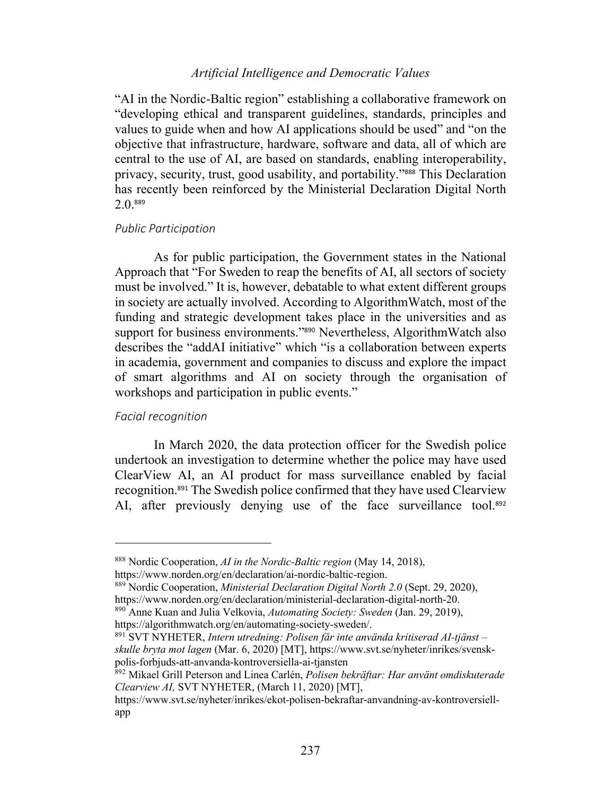"AI in the Nordic-Baltic region" establishing a collaborative framework on "developing ethical and transparent guidelines, standards, principles and values to guide when and how AI applications should be used" and "on the objective that infrastructure, hardware, software and data, all of which are central to the use of AI, are based on standards, enabling interoperability, privacy, security, trust, good usability, and portability."<sup>888</sup> This Declaration has recently been reinforced by the Ministerial Declaration Digital North 2.0. 889

#### *Public Participation*

As for public participation, the Government states in the National Approach that "For Sweden to reap the benefits of AI, all sectors of society must be involved." It is, however, debatable to what extent different groups in society are actually involved. According to AlgorithmWatch, most of the funding and strategic development takes place in the universities and as support for business environments."<sup>890</sup> Nevertheless, AlgorithmWatch also describes the "addAI initiative" which "is a collaboration between experts in academia, government and companies to discuss and explore the impact of smart algorithms and AI on society through the organisation of workshops and participation in public events."

## *Facial recognition*

In March 2020, the data protection officer for the Swedish police undertook an investigation to determine whether the police may have used ClearView AI, an AI product for mass surveillance enabled by facial recognition.<sup>891</sup> The Swedish police confirmed that they have used Clearview AI, after previously denying use of the face surveillance tool.<sup>892</sup>

<sup>891</sup> SVT NYHETER, *Intern utredning: Polisen får inte använda kritiserad AI-tjänst – skulle bryta mot lagen* (Mar. 6, 2020) [MT], https://www.svt.se/nyheter/inrikes/svenskpolis-forbjuds-att-anvanda-kontroversiella-ai-tjansten

<sup>888</sup> Nordic Cooperation, *AI in the Nordic-Baltic region* (May 14, 2018), https://www.norden.org/en/declaration/ai-nordic-baltic-region.

<sup>889</sup> Nordic Cooperation, *Ministerial Declaration Digital North 2.0* (Sept. 29, 2020), https://www.norden.org/en/declaration/ministerial-declaration-digital-north-20.

<sup>890</sup> Anne Kuan and Julia Velkovia, *Automating Society: Sweden* (Jan. 29, 2019), https://algorithmwatch.org/en/automating-society-sweden/.

<sup>892</sup> Mikael Grill Peterson and Linea Carlén, *Polisen bekräftar: Har använt omdiskuterade Clearview AI,* SVT NYHETER, (March 11, 2020) [MT],

https://www.svt.se/nyheter/inrikes/ekot-polisen-bekraftar-anvandning-av-kontroversiellapp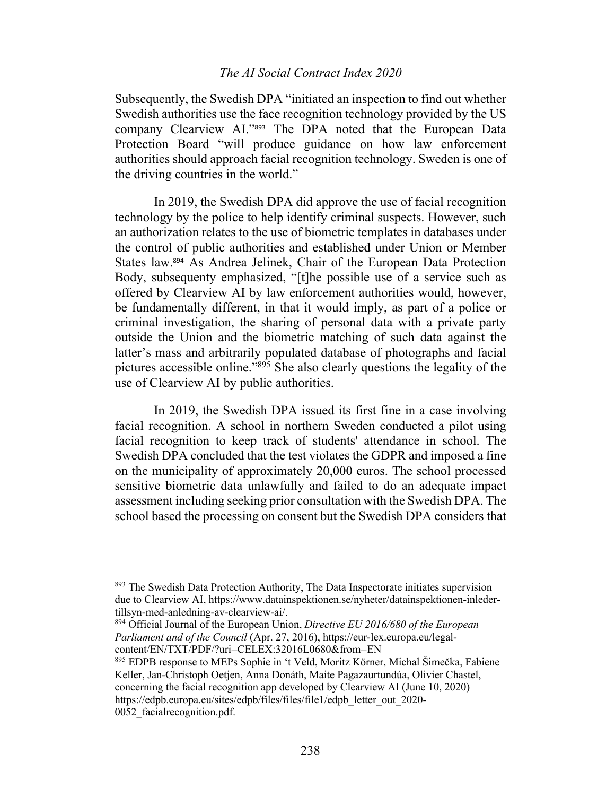Subsequently, the Swedish DPA "initiated an inspection to find out whether Swedish authorities use the face recognition technology provided by the US company Clearview AI."<sup>893</sup> The DPA noted that the European Data Protection Board "will produce guidance on how law enforcement authorities should approach facial recognition technology. Sweden is one of the driving countries in the world."

In 2019, the Swedish DPA did approve the use of facial recognition technology by the police to help identify criminal suspects. However, such an authorization relates to the use of biometric templates in databases under the control of public authorities and established under Union or Member States law.<sup>894</sup> As Andrea Jelinek, Chair of the European Data Protection Body, subsequenty emphasized, "[t]he possible use of a service such as offered by Clearview AI by law enforcement authorities would, however, be fundamentally different, in that it would imply, as part of a police or criminal investigation, the sharing of personal data with a private party outside the Union and the biometric matching of such data against the latter's mass and arbitrarily populated database of photographs and facial pictures accessible online."895 She also clearly questions the legality of the use of Clearview AI by public authorities.

In 2019, the Swedish DPA issued its first fine in a case involving facial recognition. A school in northern Sweden conducted a pilot using facial recognition to keep track of students' attendance in school. The Swedish DPA concluded that the test violates the GDPR and imposed a fine on the municipality of approximately 20,000 euros. The school processed sensitive biometric data unlawfully and failed to do an adequate impact assessment including seeking prior consultation with the Swedish DPA. The school based the processing on consent but the Swedish DPA considers that

<sup>894</sup> Official Journal of the European Union, *Directive EU 2016/680 of the European Parliament and of the Council* (Apr. 27, 2016), https://eur-lex.europa.eu/legalcontent/EN/TXT/PDF/?uri=CELEX:32016L0680&from=EN

0052\_facialrecognition.pdf.

<sup>&</sup>lt;sup>893</sup> The Swedish Data Protection Authority, The Data Inspectorate initiates supervision due to Clearview AI, https://www.datainspektionen.se/nyheter/datainspektionen-inledertillsyn-med-anledning-av-clearview-ai/.

<sup>895</sup> EDPB response to MEPs Sophie in 't Veld, Moritz Körner, Michal Šimečka, Fabiene Keller, Jan-Christoph Oetjen, Anna Donáth, Maite Pagazaurtundúa, Olivier Chastel, concerning the facial recognition app developed by Clearview AI (June 10, 2020) https://edpb.europa.eu/sites/edpb/files/files/file1/edpb\_letter\_out\_2020-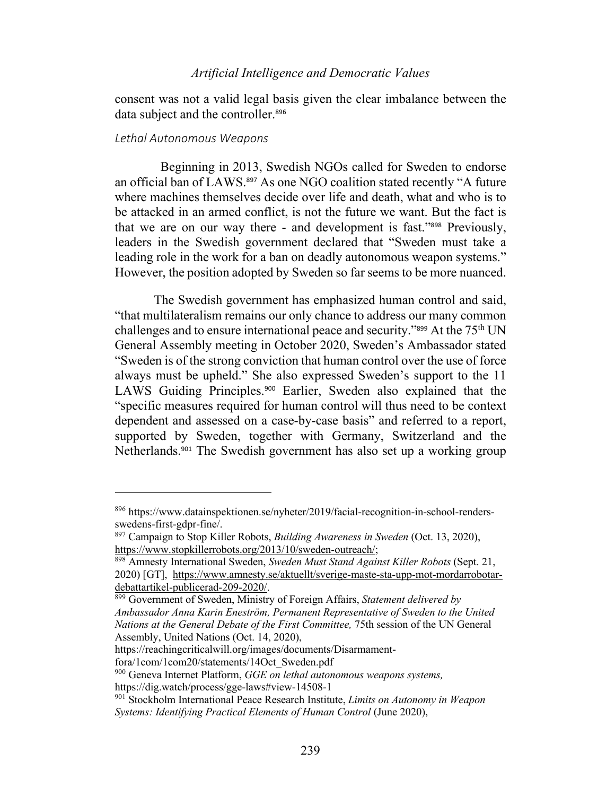consent was not a valid legal basis given the clear imbalance between the data subject and the controller.<sup>896</sup>

#### *Lethal Autonomous Weapons*

Beginning in 2013, Swedish NGOs called for Sweden to endorse an official ban of LAWS. <sup>897</sup> As one NGO coalition stated recently "A future where machines themselves decide over life and death, what and who is to be attacked in an armed conflict, is not the future we want. But the fact is that we are on our way there - and development is fast."<sup>898</sup> Previously, leaders in the Swedish government declared that "Sweden must take a leading role in the work for a ban on deadly autonomous weapon systems." However, the position adopted by Sweden so far seems to be more nuanced.

The Swedish government has emphasized human control and said, "that multilateralism remains our only chance to address our many common challenges and to ensure international peace and security."<sup>899</sup> At the 75<sup>th</sup> UN General Assembly meeting in October 2020, Sweden's Ambassador stated "Sweden is of the strong conviction that human control over the use of force always must be upheld." She also expressed Sweden's support to the 11 LAWS Guiding Principles.<sup>900</sup> Earlier, Sweden also explained that the "specific measures required for human control will thus need to be context dependent and assessed on a case-by-case basis" and referred to a report, supported by Sweden, together with Germany, Switzerland and the Netherlands.<sup>901</sup> The Swedish government has also set up a working group

https://reachingcriticalwill.org/images/documents/Disarmament-

<sup>896</sup> https://www.datainspektionen.se/nyheter/2019/facial-recognition-in-school-rendersswedens-first-gdpr-fine/.

<sup>897</sup> Campaign to Stop Killer Robots, *Building Awareness in Sweden* (Oct. 13, 2020), https://www.stopkillerrobots.org/2013/10/sweden-outreach/;

<sup>898</sup> Amnesty International Sweden, *Sweden Must Stand Against Killer Robots* (Sept. 21, 2020) [GT], https://www.amnesty.se/aktuellt/sverige-maste-sta-upp-mot-mordarrobotardebattartikel-publicerad-209-2020/.

<sup>899</sup> Government of Sweden, Ministry of Foreign Affairs, *Statement delivered by Ambassador Anna Karin Eneström, Permanent Representative of Sweden to the United Nations at the General Debate of the First Committee,* 75th session of the UN General Assembly, United Nations (Oct. 14, 2020),

fora/1com/1com20/statements/14Oct\_Sweden.pdf

<sup>900</sup> Geneva Internet Platform, *GGE on lethal autonomous weapons systems,*

https://dig.watch/process/gge-laws#view-14508-1

<sup>901</sup> Stockholm International Peace Research Institute, *Limits on Autonomy in Weapon Systems: Identifying Practical Elements of Human Control* (June 2020),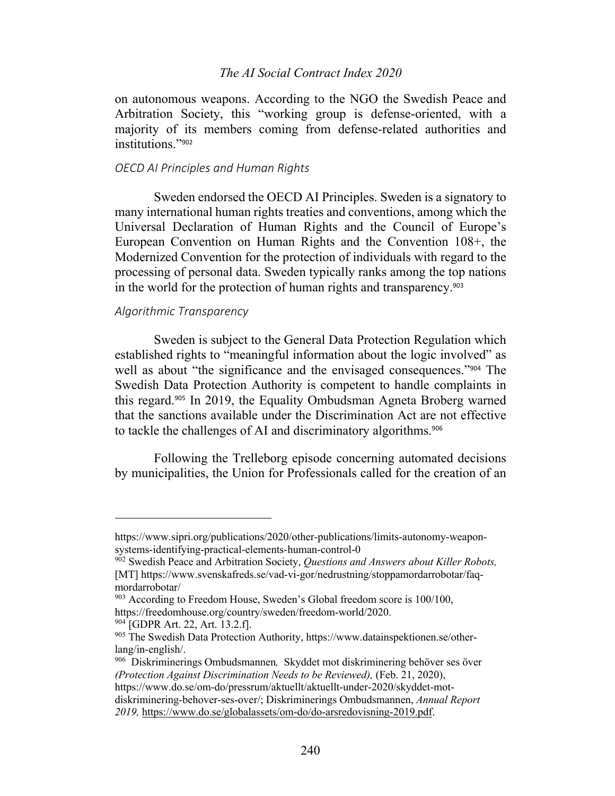on autonomous weapons. According to the NGO the Swedish Peace and Arbitration Society, this "working group is defense-oriented, with a majority of its members coming from defense-related authorities and institutions."<sup>902</sup>

### *OECD AI Principles and Human Rights*

Sweden endorsed the OECD AI Principles. Sweden is a signatory to many international human rights treaties and conventions, among which the Universal Declaration of Human Rights and the Council of Europe's European Convention on Human Rights and the Convention 108+, the Modernized Convention for the protection of individuals with regard to the processing of personal data. Sweden typically ranks among the top nations in the world for the protection of human rights and transparency.<sup>903</sup>

## *Algorithmic Transparency*

Sweden is subject to the General Data Protection Regulation which established rights to "meaningful information about the logic involved" as well as about "the significance and the envisaged consequences."<sup>904</sup> The Swedish Data Protection Authority is competent to handle complaints in this regard.<sup>905</sup> In 2019, the Equality Ombudsman Agneta Broberg warned that the sanctions available under the Discrimination Act are not effective to tackle the challenges of AI and discriminatory algorithms.<sup>906</sup>

Following the Trelleborg episode concerning automated decisions by municipalities, the Union for Professionals called for the creation of an

https://www.sipri.org/publications/2020/other-publications/limits-autonomy-weaponsystems-identifying-practical-elements-human-control-0

<sup>902</sup> Swedish Peace and Arbitration Society, *Questions and Answers about Killer Robots,* [MT] https://www.svenskafreds.se/vad-vi-gor/nedrustning/stoppamordarrobotar/faqmordarrobotar/

 $903$  According to Freedom House, Sweden's Global freedom score is 100/100, https://freedomhouse.org/country/sweden/freedom-world/2020.

<sup>&</sup>lt;sup>904</sup> [GDPR Art. 22, Art. 13.2.f].

<sup>905</sup> The Swedish Data Protection Authority, https://www.datainspektionen.se/otherlang/in-english/.

<sup>906</sup> Diskriminerings Ombudsmannen*,* Skyddet mot diskriminering behöver ses över *(Protection Against Discrimination Needs to be Reviewed), (Feb. 21, 2020),* https://www.do.se/om-do/pressrum/aktuellt/aktuellt-under-2020/skyddet-motdiskriminering-behover-ses-over/; Diskriminerings Ombudsmannen, *Annual Report 2019,* https://www.do.se/globalassets/om-do/do-arsredovisning-2019.pdf.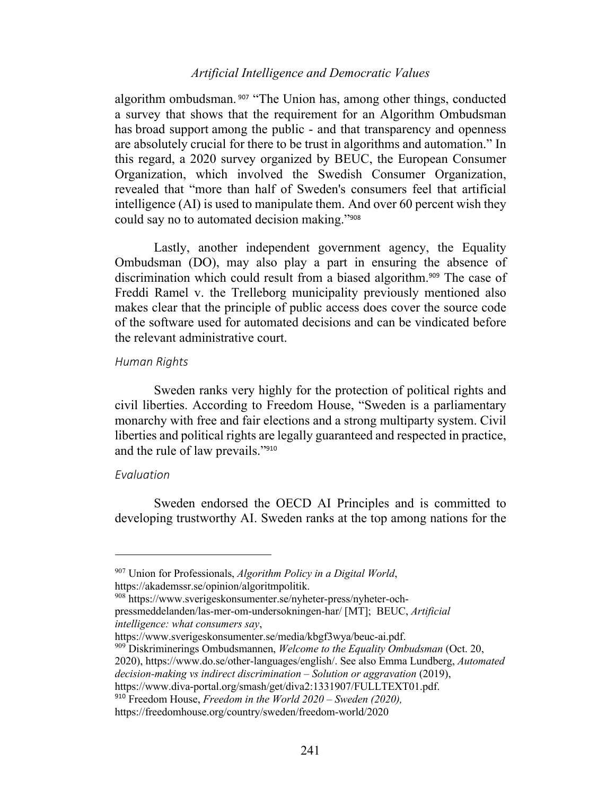algorithm ombudsman.<sup>907</sup> "The Union has, among other things, conducted a survey that shows that the requirement for an Algorithm Ombudsman has broad support among the public - and that transparency and openness are absolutely crucial for there to be trust in algorithms and automation." In this regard, a 2020 survey organized by BEUC, the European Consumer Organization, which involved the Swedish Consumer Organization, revealed that "more than half of Sweden's consumers feel that artificial intelligence (AI) is used to manipulate them. And over 60 percent wish they could say no to automated decision making."<sup>908</sup>

Lastly, another independent government agency, the Equality Ombudsman (DO), may also play a part in ensuring the absence of discrimination which could result from a biased algorithm.<sup>909</sup> The case of Freddi Ramel v. the Trelleborg municipality previously mentioned also makes clear that the principle of public access does cover the source code of the software used for automated decisions and can be vindicated before the relevant administrative court.

#### *Human Rights*

Sweden ranks very highly for the protection of political rights and civil liberties. According to Freedom House, "Sweden is a parliamentary monarchy with free and fair elections and a strong multiparty system. Civil liberties and political rights are legally guaranteed and respected in practice, and the rule of law prevails."<sup>910</sup>

### *Evaluation*

Sweden endorsed the OECD AI Principles and is committed to developing trustworthy AI. Sweden ranks at the top among nations for the

<sup>907</sup> Union for Professionals, *Algorithm Policy in a Digital World*,

https://akademssr.se/opinion/algoritmpolitik.<br><sup>908</sup> https://www.sverigeskonsumenter.se/nyheter-press/nyheter-och-

pressmeddelanden/las-mer-om-undersokningen-har/ [MT]; BEUC, *Artificial* 

*intelligence: what consumers say*,

<sup>&</sup>lt;sup>909</sup> Diskriminerings Ombudsmannen, *Welcome to the Equality Ombudsman* (Oct. 20, 2020), https://www.do.se/other-languages/english/. See also Emma Lundberg, *Automated decision-making vs indirect discrimination – Solution or aggravation* (2019), https://www.diva-portal.org/smash/get/diva2:1331907/FULLTEXT01.pdf.

<sup>910</sup> Freedom House, *Freedom in the World 2020 – Sweden (2020),*

https://freedomhouse.org/country/sweden/freedom-world/2020